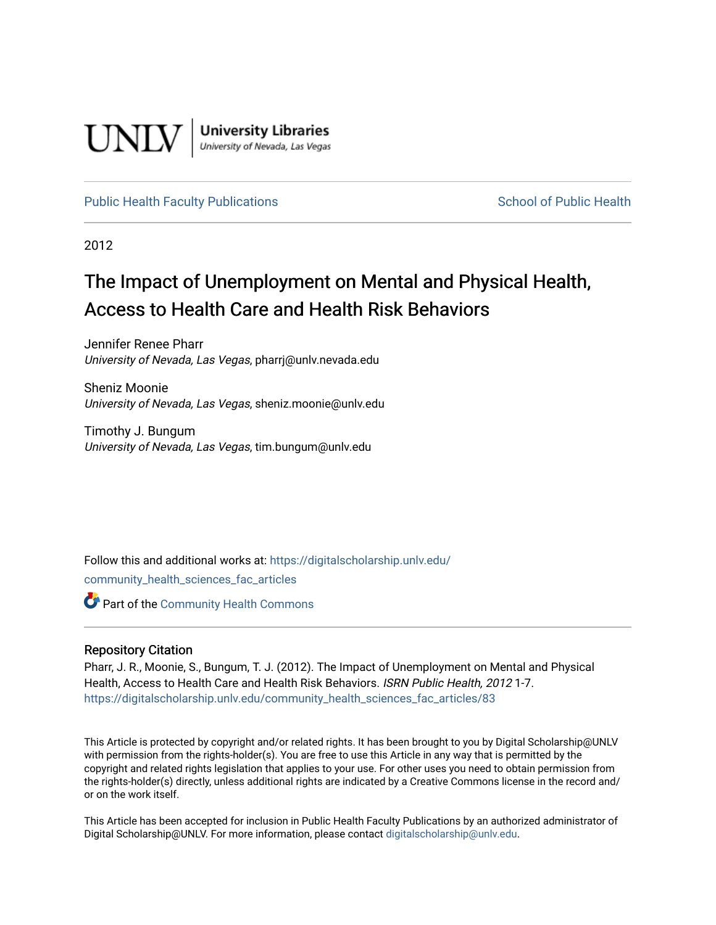

**University Libraries**<br>University of Nevada, Las Vegas

### [Public Health Faculty Publications](https://digitalscholarship.unlv.edu/community_health_sciences_fac_articles) **School of Public Health** School of Public Health

2012

# The Impact of Unemployment on Mental and Physical Health, Access to Health Care and Health Risk Behaviors

Jennifer Renee Pharr University of Nevada, Las Vegas, pharrj@unlv.nevada.edu

Sheniz Moonie University of Nevada, Las Vegas, sheniz.moonie@unlv.edu

Timothy J. Bungum University of Nevada, Las Vegas, tim.bungum@unlv.edu

Follow this and additional works at: [https://digitalscholarship.unlv.edu/](https://digitalscholarship.unlv.edu/community_health_sciences_fac_articles?utm_source=digitalscholarship.unlv.edu%2Fcommunity_health_sciences_fac_articles%2F83&utm_medium=PDF&utm_campaign=PDFCoverPages) [community\\_health\\_sciences\\_fac\\_articles](https://digitalscholarship.unlv.edu/community_health_sciences_fac_articles?utm_source=digitalscholarship.unlv.edu%2Fcommunity_health_sciences_fac_articles%2F83&utm_medium=PDF&utm_campaign=PDFCoverPages)  **Part of the Community Health Commons** 

#### Repository Citation

Pharr, J. R., Moonie, S., Bungum, T. J. (2012). The Impact of Unemployment on Mental and Physical Health, Access to Health Care and Health Risk Behaviors. ISRN Public Health, 2012 1-7. [https://digitalscholarship.unlv.edu/community\\_health\\_sciences\\_fac\\_articles/83](https://digitalscholarship.unlv.edu/community_health_sciences_fac_articles/83) 

This Article is protected by copyright and/or related rights. It has been brought to you by Digital Scholarship@UNLV with permission from the rights-holder(s). You are free to use this Article in any way that is permitted by the copyright and related rights legislation that applies to your use. For other uses you need to obtain permission from the rights-holder(s) directly, unless additional rights are indicated by a Creative Commons license in the record and/ or on the work itself.

This Article has been accepted for inclusion in Public Health Faculty Publications by an authorized administrator of Digital Scholarship@UNLV. For more information, please contact [digitalscholarship@unlv.edu](mailto:digitalscholarship@unlv.edu).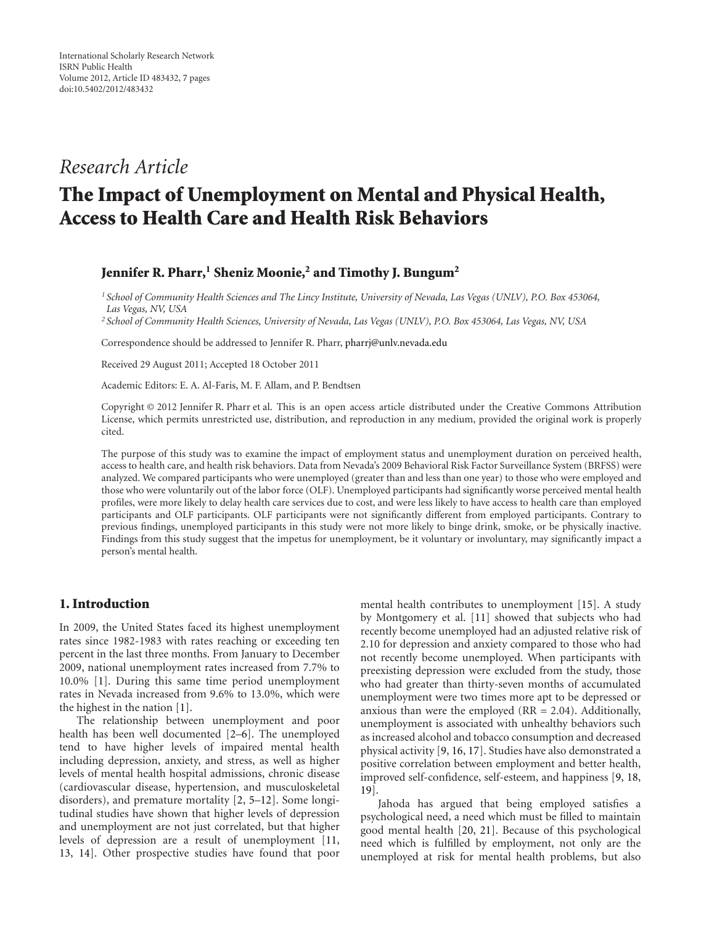## *Research Article*

# **The Impact of Unemployment on Mental and Physical Health, Access to Health Care and Health Risk Behaviors**

#### Jennifer R. Pharr,<sup>1</sup> Sheniz Moonie,<sup>2</sup> and Timothy J. Bungum<sup>2</sup>

*<sup>1</sup> School of Community Health Sciences and The Lincy Institute, University of Nevada, Las Vegas (UNLV), P.O. Box 453064, Las Vegas, NV, USA*

*<sup>2</sup> School of Community Health Sciences, University of Nevada, Las Vegas (UNLV), P.O. Box 453064, Las Vegas, NV, USA*

Correspondence should be addressed to Jennifer R. Pharr, [pharrj@unlv.nevada.edu](mailto:pharrj@unlv.nevada.edu)

Received 29 August 2011; Accepted 18 October 2011

Academic Editors: E. A. Al-Faris, M. F. Allam, and P. Bendtsen

Copyright © 2012 Jennifer R. Pharr et al. This is an open access article distributed under the Creative Commons Attribution License, which permits unrestricted use, distribution, and reproduction in any medium, provided the original work is properly cited.

The purpose of this study was to examine the impact of employment status and unemployment duration on perceived health, access to health care, and health risk behaviors. Data from Nevada's 2009 Behavioral Risk Factor Surveillance System (BRFSS) were analyzed. We compared participants who were unemployed (greater than and less than one year) to those who were employed and those who were voluntarily out of the labor force (OLF). Unemployed participants had significantly worse perceived mental health profiles, were more likely to delay health care services due to cost, and were less likely to have access to health care than employed participants and OLF participants. OLF participants were not significantly different from employed participants. Contrary to previous findings, unemployed participants in this study were not more likely to binge drink, smoke, or be physically inactive. Findings from this study suggest that the impetus for unemployment, be it voluntary or involuntary, may significantly impact a person's mental health.

#### **1. Introduction**

In 2009, the United States faced its highest unemployment rates since 1982-1983 with rates reaching or exceeding ten percent in the last three months. From January to December 2009, national unemployment rates increased from 7.7% to 10.0% [\[1\]](#page-6-1). During this same time period unemployment rates in Nevada increased from 9.6% to 13.0%, which were the highest in the nation [\[1\]](#page-6-1).

The relationship between unemployment and poor health has been well documented [\[2](#page-6-2)[–6\]](#page-6-3). The unemployed tend to have higher levels of impaired mental health including depression, anxiety, and stress, as well as higher levels of mental health hospital admissions, chronic disease (cardiovascular disease, hypertension, and musculoskeletal disorders), and premature mortality [\[2,](#page-6-2) [5](#page-6-4)[–12\]](#page-6-5). Some longitudinal studies have shown that higher levels of depression and unemployment are not just correlated, but that higher levels of depression are a result of unemployment [\[11,](#page-6-6) [13](#page-6-7), [14](#page-6-8)]. Other prospective studies have found that poor

mental health contributes to unemployment [\[15](#page-6-9)]. A study by Montgomery et al. [\[11](#page-6-6)] showed that subjects who had recently become unemployed had an adjusted relative risk of 2.10 for depression and anxiety compared to those who had not recently become unemployed. When participants with preexisting depression were excluded from the study, those who had greater than thirty-seven months of accumulated unemployment were two times more apt to be depressed or anxious than were the employed  $(RR = 2.04)$ . Additionally, unemployment is associated with unhealthy behaviors such as increased alcohol and tobacco consumption and decreased physical activity [\[9](#page-6-10), [16](#page-7-0), [17](#page-7-1)]. Studies have also demonstrated a positive correlation between employment and better health, improved self-confidence, self-esteem, and happiness [\[9,](#page-6-10) [18](#page-7-2), [19](#page-7-3)].

Jahoda has argued that being employed satisfies a psychological need, a need which must be filled to maintain good mental health [\[20](#page-7-4), [21\]](#page-7-5). Because of this psychological need which is fulfilled by employment, not only are the unemployed at risk for mental health problems, but also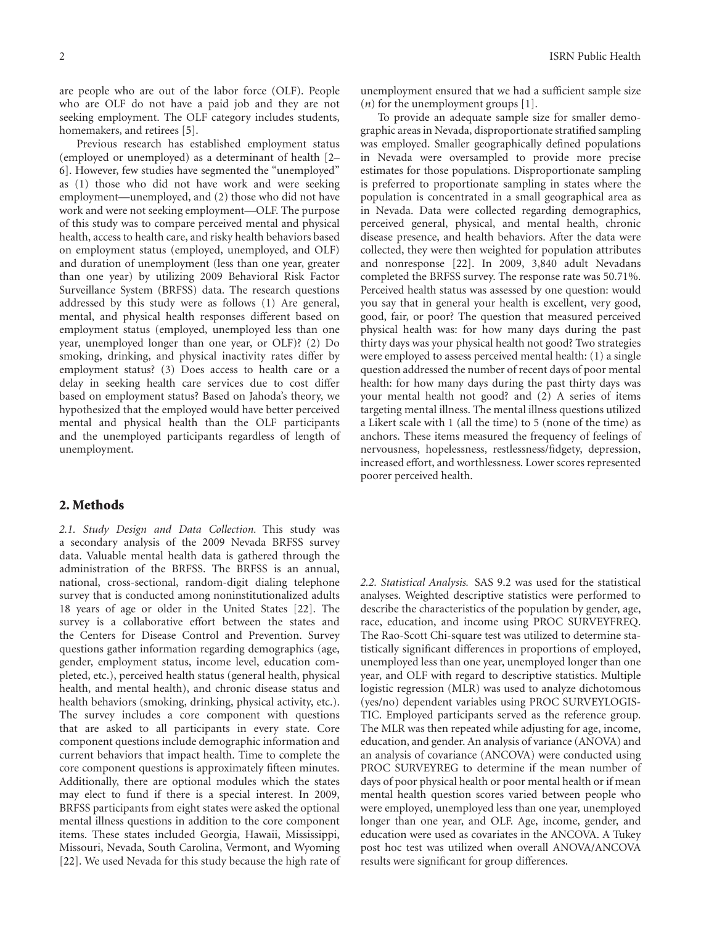are people who are out of the labor force (OLF). People who are OLF do not have a paid job and they are not seeking employment. The OLF category includes students, homemakers, and retirees [\[5\]](#page-6-4).

Previous research has established employment status (employed or unemployed) as a determinant of health [\[2–](#page-6-2) [6\]](#page-6-3). However, few studies have segmented the "unemployed" as (1) those who did not have work and were seeking employment—unemployed, and (2) those who did not have work and were not seeking employment—OLF. The purpose of this study was to compare perceived mental and physical health, access to health care, and risky health behaviors based on employment status (employed, unemployed, and OLF) and duration of unemployment (less than one year, greater than one year) by utilizing 2009 Behavioral Risk Factor Surveillance System (BRFSS) data. The research questions addressed by this study were as follows (1) Are general, mental, and physical health responses different based on employment status (employed, unemployed less than one year, unemployed longer than one year, or OLF)? (2) Do smoking, drinking, and physical inactivity rates differ by employment status? (3) Does access to health care or a delay in seeking health care services due to cost differ based on employment status? Based on Jahoda's theory, we hypothesized that the employed would have better perceived mental and physical health than the OLF participants and the unemployed participants regardless of length of unemployment.

#### **2. Methods**

*2.1. Study Design and Data Collection.* This study was a secondary analysis of the 2009 Nevada BRFSS survey data. Valuable mental health data is gathered through the administration of the BRFSS. The BRFSS is an annual, national, cross-sectional, random-digit dialing telephone survey that is conducted among noninstitutionalized adults 18 years of age or older in the United States [\[22](#page-7-6)]. The survey is a collaborative effort between the states and the Centers for Disease Control and Prevention. Survey questions gather information regarding demographics (age, gender, employment status, income level, education completed, etc.), perceived health status (general health, physical health, and mental health), and chronic disease status and health behaviors (smoking, drinking, physical activity, etc.). The survey includes a core component with questions that are asked to all participants in every state. Core component questions include demographic information and current behaviors that impact health. Time to complete the core component questions is approximately fifteen minutes. Additionally, there are optional modules which the states may elect to fund if there is a special interest. In 2009, BRFSS participants from eight states were asked the optional mental illness questions in addition to the core component items. These states included Georgia, Hawaii, Mississippi, Missouri, Nevada, South Carolina, Vermont, and Wyoming [\[22\]](#page-7-6). We used Nevada for this study because the high rate of unemployment ensured that we had a sufficient sample size (*n*) for the unemployment groups [\[1](#page-6-1)].

To provide an adequate sample size for smaller demographic areas in Nevada, disproportionate stratified sampling was employed. Smaller geographically defined populations in Nevada were oversampled to provide more precise estimates for those populations. Disproportionate sampling is preferred to proportionate sampling in states where the population is concentrated in a small geographical area as in Nevada. Data were collected regarding demographics, perceived general, physical, and mental health, chronic disease presence, and health behaviors. After the data were collected, they were then weighted for population attributes and nonresponse [\[22](#page-7-6)]. In 2009, 3,840 adult Nevadans completed the BRFSS survey. The response rate was 50.71%. Perceived health status was assessed by one question: would you say that in general your health is excellent, very good, good, fair, or poor? The question that measured perceived physical health was: for how many days during the past thirty days was your physical health not good? Two strategies were employed to assess perceived mental health: (1) a single question addressed the number of recent days of poor mental health: for how many days during the past thirty days was your mental health not good? and (2) A series of items targeting mental illness. The mental illness questions utilized a Likert scale with 1 (all the time) to 5 (none of the time) as anchors. These items measured the frequency of feelings of nervousness, hopelessness, restlessness/fidgety, depression, increased effort, and worthlessness. Lower scores represented poorer perceived health.

*2.2. Statistical Analysis.* SAS 9.2 was used for the statistical analyses. Weighted descriptive statistics were performed to describe the characteristics of the population by gender, age, race, education, and income using PROC SURVEYFREQ. The Rao-Scott Chi-square test was utilized to determine statistically significant differences in proportions of employed, unemployed less than one year, unemployed longer than one year, and OLF with regard to descriptive statistics. Multiple logistic regression (MLR) was used to analyze dichotomous (yes/no) dependent variables using PROC SURVEYLOGIS-TIC. Employed participants served as the reference group. The MLR was then repeated while adjusting for age, income, education, and gender. An analysis of variance (ANOVA) and an analysis of covariance (ANCOVA) were conducted using PROC SURVEYREG to determine if the mean number of days of poor physical health or poor mental health or if mean mental health question scores varied between people who were employed, unemployed less than one year, unemployed longer than one year, and OLF. Age, income, gender, and education were used as covariates in the ANCOVA. A Tukey post hoc test was utilized when overall ANOVA/ANCOVA results were significant for group differences.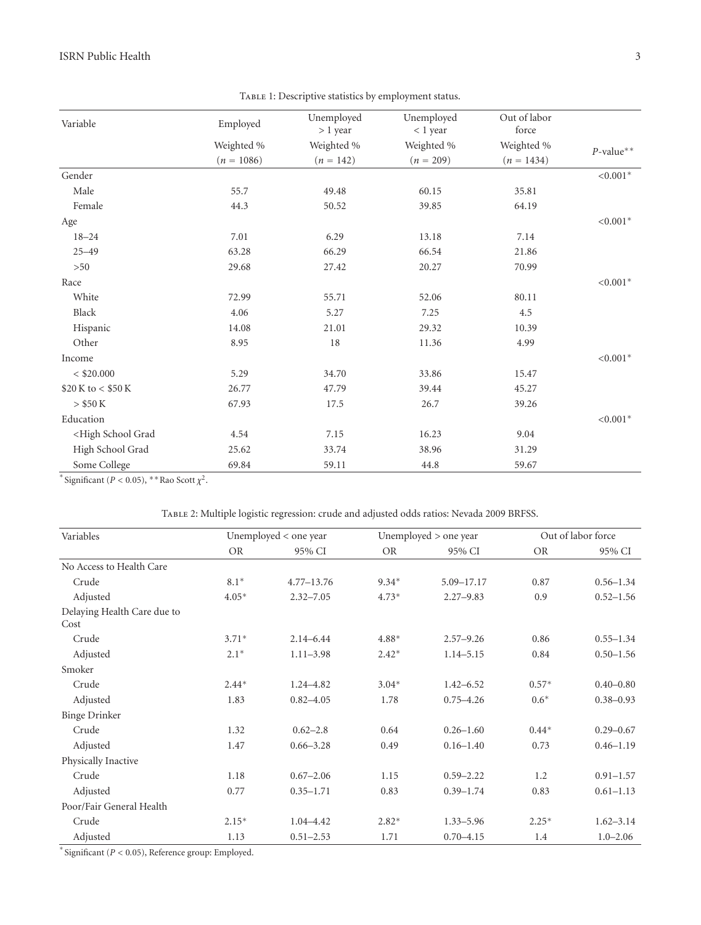| Variable                                                                                             | Employed     | Unemployed<br>$> 1$ year | Unemployed<br>< 1 year | Out of labor<br>force |              |
|------------------------------------------------------------------------------------------------------|--------------|--------------------------|------------------------|-----------------------|--------------|
|                                                                                                      | Weighted %   | Weighted %               | Weighted %             | Weighted %            |              |
|                                                                                                      | $(n = 1086)$ | $(n = 142)$              | $(n = 209)$            | $(n = 1434)$          | $P$ -value** |
| Gender                                                                                               |              |                          |                        |                       | ${<}0.001*$  |
| Male                                                                                                 | 55.7         | 49.48                    | 60.15                  | 35.81                 |              |
| Female                                                                                               | 44.3         | 50.52                    | 39.85                  | 64.19                 |              |
| Age                                                                                                  |              |                          |                        |                       | ${<}0.001*$  |
| $18 - 24$                                                                                            | 7.01         | 6.29                     | 13.18                  | 7.14                  |              |
| $25 - 49$                                                                                            | 63.28        | 66.29                    | 66.54                  | 21.86                 |              |
| >50                                                                                                  | 29.68        | 27.42                    | 20.27                  | 70.99                 |              |
| Race                                                                                                 |              |                          |                        |                       | $< 0.001*$   |
| White                                                                                                | 72.99        | 55.71                    | 52.06                  | 80.11                 |              |
| Black                                                                                                | 4.06         | 5.27                     | 7.25                   | 4.5                   |              |
| Hispanic                                                                                             | 14.08        | 21.01                    | 29.32                  | 10.39                 |              |
| Other                                                                                                | 8.95         | 18                       | 11.36                  | 4.99                  |              |
| Income                                                                                               |              |                          |                        |                       | ${<}0.001*$  |
| $<$ \$20.000                                                                                         | 5.29         | 34.70                    | 33.86                  | 15.47                 |              |
| \$20 K to < \$50 K                                                                                   | 26.77        | 47.79                    | 39.44                  | 45.27                 |              |
| $>$ \$50 K                                                                                           | 67.93        | 17.5                     | 26.7                   | 39.26                 |              |
| Education                                                                                            |              |                          |                        |                       | ${<}0.001*$  |
| <high grad<="" school="" td=""><td>4.54</td><td>7.15</td><td>16.23</td><td>9.04</td><td></td></high> | 4.54         | 7.15                     | 16.23                  | 9.04                  |              |
| High School Grad                                                                                     | 25.62        | 33.74                    | 38.96                  | 31.29                 |              |
| Some College                                                                                         | 69.84        | 59.11                    | 44.8                   | 59.67                 |              |

<span id="page-3-0"></span>TABLE 1: Descriptive statistics by employment status.

<sup>\*</sup> Significant ( $P < 0.05$ ), \*\*Rao Scott  $\chi^2$ .

<span id="page-3-1"></span>

| Variables                           | Unemployed < one year |                |           | Unemployed > one year |           | Out of labor force |  |
|-------------------------------------|-----------------------|----------------|-----------|-----------------------|-----------|--------------------|--|
|                                     | <b>OR</b>             | 95% CI         | <b>OR</b> | 95% CI                | <b>OR</b> | 95% CI             |  |
| No Access to Health Care            |                       |                |           |                       |           |                    |  |
| Crude                               | $8.1*$                | $4.77 - 13.76$ | $9.34*$   | 5.09-17.17            | 0.87      | $0.56 - 1.34$      |  |
| Adjusted                            | $4.05*$               | $2.32 - 7.05$  | $4.73*$   | $2.27 - 9.83$         | 0.9       | $0.52 - 1.56$      |  |
| Delaying Health Care due to<br>Cost |                       |                |           |                       |           |                    |  |
| Crude                               | $3.71*$               | $2.14 - 6.44$  | 4.88*     | $2.57 - 9.26$         | 0.86      | $0.55 - 1.34$      |  |
| Adjusted                            | $2.1*$                | $1.11 - 3.98$  | $2.42*$   | $1.14 - 5.15$         | 0.84      | $0.50 - 1.56$      |  |
| Smoker                              |                       |                |           |                       |           |                    |  |
| Crude                               | $2.44*$               | $1.24 - 4.82$  | $3.04*$   | $1.42 - 6.52$         | $0.57*$   | $0.40 - 0.80$      |  |
| Adjusted                            | 1.83                  | $0.82 - 4.05$  | 1.78      | $0.75 - 4.26$         | $0.6*$    | $0.38 - 0.93$      |  |
| <b>Binge Drinker</b>                |                       |                |           |                       |           |                    |  |
| Crude                               | 1.32                  | $0.62 - 2.8$   | 0.64      | $0.26 - 1.60$         | $0.44*$   | $0.29 - 0.67$      |  |
| Adjusted                            | 1.47                  | $0.66 - 3.28$  | 0.49      | $0.16 - 1.40$         | 0.73      | $0.46 - 1.19$      |  |
| Physically Inactive                 |                       |                |           |                       |           |                    |  |
| Crude                               | 1.18                  | $0.67 - 2.06$  | 1.15      | $0.59 - 2.22$         | 1.2       | $0.91 - 1.57$      |  |
| Adjusted                            | 0.77                  | $0.35 - 1.71$  | 0.83      | $0.39 - 1.74$         | 0.83      | $0.61 - 1.13$      |  |
| Poor/Fair General Health            |                       |                |           |                       |           |                    |  |
| Crude                               | $2.15*$               | $1.04 - 4.42$  | $2.82*$   | $1.33 - 5.96$         | $2.25*$   | $1.62 - 3.14$      |  |
| Adjusted                            | 1.13                  | $0.51 - 2.53$  | 1.71      | $0.70 - 4.15$         | 1.4       | $1.0 - 2.06$       |  |

∗ Significant (*P <* 0*.*05), Reference group: Employed.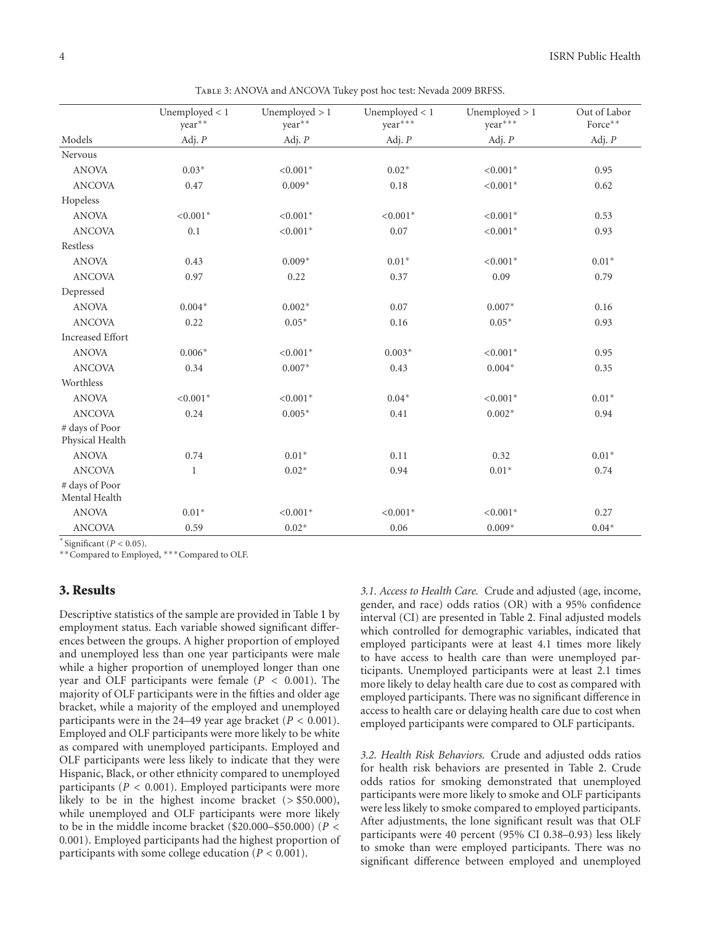|                                   | Unemployed $< 1$<br>year** | Unemployed $> 1$<br>year** | Unemployed $< 1$<br>year*** | Unemployed $> 1$<br>year*** | Out of Labor<br>Force** |
|-----------------------------------|----------------------------|----------------------------|-----------------------------|-----------------------------|-------------------------|
| Models                            | Adj. $P$                   | Adj. $P$                   | Adj. $P$                    | Adj. $P$                    | Adj. $P$                |
| Nervous                           |                            |                            |                             |                             |                         |
| <b>ANOVA</b>                      | $0.03*$                    | $< 0.001*$                 | $0.02*$                     | $< 0.001*$                  | 0.95                    |
| <b>ANCOVA</b>                     | 0.47                       | $0.009*$                   | 0.18                        | $< 0.001*$                  | 0.62                    |
| Hopeless                          |                            |                            |                             |                             |                         |
| <b>ANOVA</b>                      | $< 0.001*$                 | $< 0.001*$                 | $< 0.001*$                  | $< 0.001*$                  | 0.53                    |
| <b>ANCOVA</b>                     | 0.1                        | $< 0.001*$                 | 0.07                        | $< 0.001*$                  | 0.93                    |
| Restless                          |                            |                            |                             |                             |                         |
| <b>ANOVA</b>                      | 0.43                       | $0.009*$                   | $0.01*$                     | $< 0.001*$                  | $0.01*$                 |
| <b>ANCOVA</b>                     | 0.97                       | 0.22                       | 0.37                        | 0.09                        | 0.79                    |
| Depressed                         |                            |                            |                             |                             |                         |
| <b>ANOVA</b>                      | $0.004*$                   | $0.002*$                   | 0.07                        | $0.007*$                    | 0.16                    |
| <b>ANCOVA</b>                     | 0.22                       | $0.05*$                    | 0.16                        | $0.05*$                     | 0.93                    |
| <b>Increased Effort</b>           |                            |                            |                             |                             |                         |
| <b>ANOVA</b>                      | $0.006*$                   | $< 0.001*$                 | $0.003*$                    | $< 0.001*$                  | 0.95                    |
| <b>ANCOVA</b>                     | 0.34                       | $0.007*$                   | 0.43                        | $0.004*$                    | 0.35                    |
| Worthless                         |                            |                            |                             |                             |                         |
| <b>ANOVA</b>                      | $< 0.001*$                 | $< 0.001*$                 | $0.04*$                     | $< 0.001*$                  | $0.01*$                 |
| <b>ANCOVA</b>                     | 0.24                       | $0.005*$                   | 0.41                        | $0.002*$                    | 0.94                    |
| # days of Poor<br>Physical Health |                            |                            |                             |                             |                         |
| <b>ANOVA</b>                      | 0.74                       | $0.01*$                    | 0.11                        | 0.32                        | $0.01*$                 |
| <b>ANCOVA</b>                     | 1                          | $0.02*$                    | 0.94                        | $0.01*$                     | 0.74                    |
| # days of Poor<br>Mental Health   |                            |                            |                             |                             |                         |
| <b>ANOVA</b>                      | $0.01*$                    | $< 0.001*$                 | $< 0.001*$                  | $< 0.001*$                  | 0.27                    |
| <b>ANCOVA</b>                     | 0.59                       | $0.02*$                    | 0.06                        | $0.009*$                    | $0.04*$                 |

<span id="page-4-0"></span>Table 3: ANOVA and ANCOVA Tukey post hoc test: Nevada 2009 BRFSS.

∗ Significant (*P <* 0*.*05).

∗∗Compared to Employed, ∗∗∗Compared to OLF.

#### **3. Results**

Descriptive statistics of the sample are provided in Table [1](#page-3-0) by employment status. Each variable showed significant differences between the groups. A higher proportion of employed and unemployed less than one year participants were male while a higher proportion of unemployed longer than one year and OLF participants were female (*P <* 0*.*001). The majority of OLF participants were in the fifties and older age bracket, while a majority of the employed and unemployed participants were in the 24–49 year age bracket ( $P < 0.001$ ). Employed and OLF participants were more likely to be white as compared with unemployed participants. Employed and OLF participants were less likely to indicate that they were Hispanic, Black, or other ethnicity compared to unemployed participants (*P <* 0*.*001). Employed participants were more likely to be in the highest income bracket (*>* \$50.000), while unemployed and OLF participants were more likely to be in the middle income bracket (\$20.000–\$50.000) (*P <* 0*.*001). Employed participants had the highest proportion of participants with some college education (*P <* 0*.*001).

*3.1. Access to Health Care.* Crude and adjusted (age, income, gender, and race) odds ratios (OR) with a 95% confidence interval (CI) are presented in Table [2.](#page-3-1) Final adjusted models which controlled for demographic variables, indicated that employed participants were at least 4.1 times more likely to have access to health care than were unemployed participants. Unemployed participants were at least 2.1 times more likely to delay health care due to cost as compared with employed participants. There was no significant difference in access to health care or delaying health care due to cost when employed participants were compared to OLF participants.

*3.2. Health Risk Behaviors.* Crude and adjusted odds ratios for health risk behaviors are presented in Table [2.](#page-3-1) Crude odds ratios for smoking demonstrated that unemployed participants were more likely to smoke and OLF participants were less likely to smoke compared to employed participants. After adjustments, the lone significant result was that OLF participants were 40 percent (95% CI 0.38–0.93) less likely to smoke than were employed participants. There was no significant difference between employed and unemployed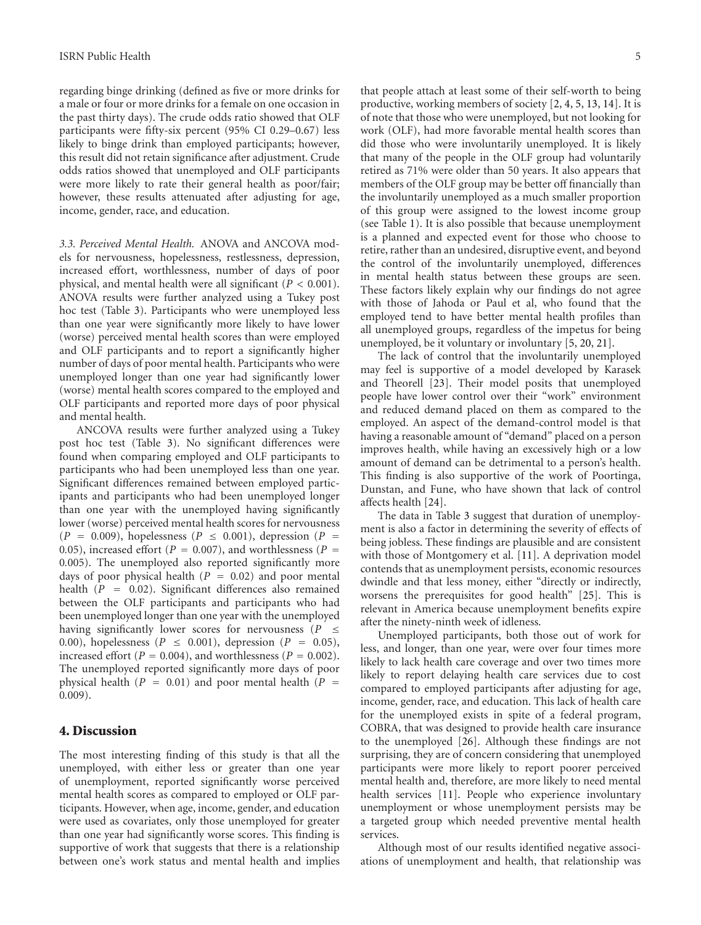regarding binge drinking (defined as five or more drinks for a male or four or more drinks for a female on one occasion in the past thirty days). The crude odds ratio showed that OLF participants were fifty-six percent (95% CI 0.29–0.67) less likely to binge drink than employed participants; however, this result did not retain significance after adjustment. Crude odds ratios showed that unemployed and OLF participants were more likely to rate their general health as poor/fair; however, these results attenuated after adjusting for age, income, gender, race, and education.

*3.3. Perceived Mental Health.* ANOVA and ANCOVA models for nervousness, hopelessness, restlessness, depression, increased effort, worthlessness, number of days of poor physical, and mental health were all significant (*P <* 0*.*001). ANOVA results were further analyzed using a Tukey post hoc test (Table [3\)](#page-4-0). Participants who were unemployed less than one year were significantly more likely to have lower (worse) perceived mental health scores than were employed and OLF participants and to report a significantly higher number of days of poor mental health. Participants who were unemployed longer than one year had significantly lower (worse) mental health scores compared to the employed and OLF participants and reported more days of poor physical and mental health.

ANCOVA results were further analyzed using a Tukey post hoc test (Table [3\)](#page-4-0). No significant differences were found when comparing employed and OLF participants to participants who had been unemployed less than one year. Significant differences remained between employed participants and participants who had been unemployed longer than one year with the unemployed having significantly lower (worse) perceived mental health scores for nervousness  $(P = 0.009)$ , hopelessness  $(P \le 0.001)$ , depression  $(P = 0.009)$ 0.05), increased effort ( $P = 0.007$ ), and worthlessness ( $P =$ 0*.*005). The unemployed also reported significantly more days of poor physical health  $(P = 0.02)$  and poor mental health (*<sup>P</sup>* <sup>=</sup> <sup>0</sup>*.*02). Significant differences also remained between the OLF participants and participants who had been unemployed longer than one year with the unemployed having significantly lower scores for nervousness ( $P \leq$ <sup>0</sup>*.*00), hopelessness (*<sup>P</sup>* <sup>≤</sup> <sup>0</sup>*.*001), depression (*<sup>P</sup>* <sup>=</sup> <sup>0</sup>*.*05), increased effort ( $P = 0.004$ ), and worthlessness ( $P = 0.002$ ). The unemployed reported significantly more days of poor physical health  $(P = 0.01)$  and poor mental health  $(P = 0.01)$ 0*.*009).

### **4. Discussion**

The most interesting finding of this study is that all the unemployed, with either less or greater than one year of unemployment, reported significantly worse perceived mental health scores as compared to employed or OLF participants. However, when age, income, gender, and education were used as covariates, only those unemployed for greater than one year had significantly worse scores. This finding is supportive of work that suggests that there is a relationship between one's work status and mental health and implies

that people attach at least some of their self-worth to being productive, working members of society [\[2,](#page-6-2) [4](#page-6-11), [5,](#page-6-4) [13,](#page-6-7) [14\]](#page-6-8). It is of note that those who were unemployed, but not looking for work (OLF), had more favorable mental health scores than did those who were involuntarily unemployed. It is likely that many of the people in the OLF group had voluntarily retired as 71% were older than 50 years. It also appears that members of the OLF group may be better off financially than the involuntarily unemployed as a much smaller proportion of this group were assigned to the lowest income group (see Table [1\)](#page-3-0). It is also possible that because unemployment is a planned and expected event for those who choose to retire, rather than an undesired, disruptive event, and beyond the control of the involuntarily unemployed, differences in mental health status between these groups are seen. These factors likely explain why our findings do not agree with those of Jahoda or Paul et al, who found that the employed tend to have better mental health profiles than all unemployed groups, regardless of the impetus for being unemployed, be it voluntary or involuntary [\[5,](#page-6-4) [20](#page-7-4), [21](#page-7-5)].

The lack of control that the involuntarily unemployed may feel is supportive of a model developed by Karasek and Theorell [\[23\]](#page-7-7). Their model posits that unemployed people have lower control over their "work" environment and reduced demand placed on them as compared to the employed. An aspect of the demand-control model is that having a reasonable amount of "demand" placed on a person improves health, while having an excessively high or a low amount of demand can be detrimental to a person's health. This finding is also supportive of the work of Poortinga, Dunstan, and Fune, who have shown that lack of control affects health [\[24](#page-7-8)].

The data in Table [3](#page-4-0) suggest that duration of unemployment is also a factor in determining the severity of effects of being jobless. These findings are plausible and are consistent with those of Montgomery et al. [\[11](#page-6-6)]. A deprivation model contends that as unemployment persists, economic resources dwindle and that less money, either "directly or indirectly, worsens the prerequisites for good health" [\[25\]](#page-7-9). This is relevant in America because unemployment benefits expire after the ninety-ninth week of idleness.

Unemployed participants, both those out of work for less, and longer, than one year, were over four times more likely to lack health care coverage and over two times more likely to report delaying health care services due to cost compared to employed participants after adjusting for age, income, gender, race, and education. This lack of health care for the unemployed exists in spite of a federal program, COBRA, that was designed to provide health care insurance to the unemployed [\[26](#page-7-10)]. Although these findings are not surprising, they are of concern considering that unemployed participants were more likely to report poorer perceived mental health and, therefore, are more likely to need mental health services [\[11](#page-6-6)]. People who experience involuntary unemployment or whose unemployment persists may be a targeted group which needed preventive mental health services.

Although most of our results identified negative associations of unemployment and health, that relationship was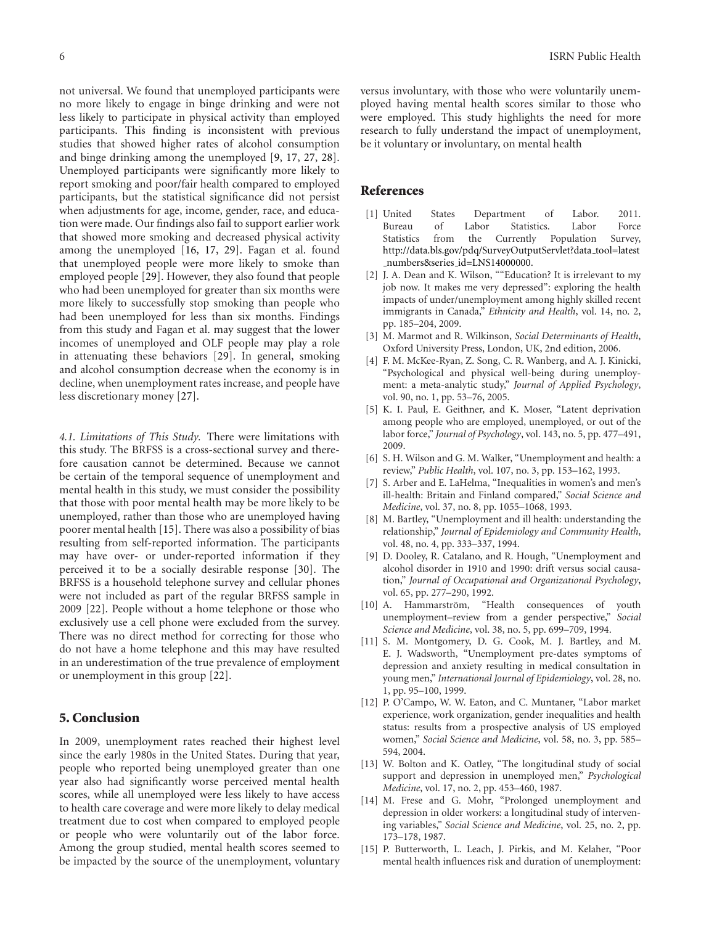not universal. We found that unemployed participants were no more likely to engage in binge drinking and were not less likely to participate in physical activity than employed participants. This finding is inconsistent with previous studies that showed higher rates of alcohol consumption and binge drinking among the unemployed [\[9,](#page-6-10) [17,](#page-7-1) [27,](#page-7-11) [28\]](#page-7-12). Unemployed participants were significantly more likely to report smoking and poor/fair health compared to employed participants, but the statistical significance did not persist when adjustments for age, income, gender, race, and education were made. Our findings also fail to support earlier work that showed more smoking and decreased physical activity among the unemployed [\[16](#page-7-0), [17,](#page-7-1) [29](#page-7-13)]. Fagan et al. found that unemployed people were more likely to smoke than employed people [\[29](#page-7-13)]. However, they also found that people who had been unemployed for greater than six months were more likely to successfully stop smoking than people who had been unemployed for less than six months. Findings from this study and Fagan et al. may suggest that the lower incomes of unemployed and OLF people may play a role in attenuating these behaviors [\[29\]](#page-7-13). In general, smoking and alcohol consumption decrease when the economy is in decline, when unemployment rates increase, and people have less discretionary money [\[27\]](#page-7-11).

*4.1. Limitations of This Study.* There were limitations with this study. The BRFSS is a cross-sectional survey and therefore causation cannot be determined. Because we cannot be certain of the temporal sequence of unemployment and mental health in this study, we must consider the possibility that those with poor mental health may be more likely to be unemployed, rather than those who are unemployed having poorer mental health [\[15](#page-6-9)]. There was also a possibility of bias resulting from self-reported information. The participants may have over- or under-reported information if they perceived it to be a socially desirable response [\[30\]](#page-7-14). The BRFSS is a household telephone survey and cellular phones were not included as part of the regular BRFSS sample in 2009 [\[22](#page-7-6)]. People without a home telephone or those who exclusively use a cell phone were excluded from the survey. There was no direct method for correcting for those who do not have a home telephone and this may have resulted in an underestimation of the true prevalence of employment or unemployment in this group [\[22](#page-7-6)].

#### **5. Conclusion**

In 2009, unemployment rates reached their highest level since the early 1980s in the United States. During that year, people who reported being unemployed greater than one year also had significantly worse perceived mental health scores, while all unemployed were less likely to have access to health care coverage and were more likely to delay medical treatment due to cost when compared to employed people or people who were voluntarily out of the labor force. Among the group studied, mental health scores seemed to be impacted by the source of the unemployment, voluntary

versus involuntary, with those who were voluntarily unemployed having mental health scores similar to those who were employed. This study highlights the need for more research to fully understand the impact of unemployment, be it voluntary or involuntary, on mental health

#### <span id="page-6-0"></span>**References**

- <span id="page-6-1"></span>[1] United States Department of Labor. 2011. Bureau of Labor Statistics. Labor Force Statistics from the Currently Population Survey, [http://data.bls.gov/pdq/SurveyOutputServlet?data](http://data.bls.gov/pdq/SurveyOutputServlet?data_tool=latest_numbers\&series_id=LNS14000000) tool=latest [numbers&series](http://data.bls.gov/pdq/SurveyOutputServlet?data_tool=latest_numbers\&series_id=LNS14000000) id=LNS14000000.
- <span id="page-6-2"></span>[2] J. A. Dean and K. Wilson, ""Education? It is irrelevant to my job now. It makes me very depressed": exploring the health impacts of under/unemployment among highly skilled recent immigrants in Canada," *Ethnicity and Health*, vol. 14, no. 2, pp. 185–204, 2009.
- [3] M. Marmot and R. Wilkinson, *Social Determinants of Health*, Oxford University Press, London, UK, 2nd edition, 2006.
- <span id="page-6-11"></span>[4] F. M. McKee-Ryan, Z. Song, C. R. Wanberg, and A. J. Kinicki, "Psychological and physical well-being during unemployment: a meta-analytic study," *Journal of Applied Psychology*, vol. 90, no. 1, pp. 53–76, 2005.
- <span id="page-6-4"></span>[5] K. I. Paul, E. Geithner, and K. Moser, "Latent deprivation among people who are employed, unemployed, or out of the labor force," *Journal of Psychology*, vol. 143, no. 5, pp. 477–491, 2009.
- <span id="page-6-3"></span>[6] S. H. Wilson and G. M. Walker, "Unemployment and health: a review," *Public Health*, vol. 107, no. 3, pp. 153–162, 1993.
- [7] S. Arber and E. LaHelma, "Inequalities in women's and men's ill-health: Britain and Finland compared," *Social Science and Medicine*, vol. 37, no. 8, pp. 1055–1068, 1993.
- [8] M. Bartley, "Unemployment and ill health: understanding the relationship," *Journal of Epidemiology and Community Health*, vol. 48, no. 4, pp. 333–337, 1994.
- <span id="page-6-10"></span>[9] D. Dooley, R. Catalano, and R. Hough, "Unemployment and alcohol disorder in 1910 and 1990: drift versus social causation," *Journal of Occupational and Organizational Psychology*, vol. 65, pp. 277–290, 1992.
- [10] A. Hammarström, "Health consequences of youth unemployment–review from a gender perspective," *Social Science and Medicine*, vol. 38, no. 5, pp. 699–709, 1994.
- <span id="page-6-6"></span>[11] S. M. Montgomery, D. G. Cook, M. J. Bartley, and M. E. J. Wadsworth, "Unemployment pre-dates symptoms of depression and anxiety resulting in medical consultation in young men," *International Journal of Epidemiology*, vol. 28, no. 1, pp. 95–100, 1999.
- <span id="page-6-5"></span>[12] P. O'Campo, W. W. Eaton, and C. Muntaner, "Labor market" experience, work organization, gender inequalities and health status: results from a prospective analysis of US employed women," *Social Science and Medicine*, vol. 58, no. 3, pp. 585– 594, 2004.
- <span id="page-6-7"></span>[13] W. Bolton and K. Oatley, "The longitudinal study of social support and depression in unemployed men," *Psychological Medicine*, vol. 17, no. 2, pp. 453–460, 1987.
- <span id="page-6-8"></span>[14] M. Frese and G. Mohr, "Prolonged unemployment and depression in older workers: a longitudinal study of intervening variables," *Social Science and Medicine*, vol. 25, no. 2, pp. 173–178, 1987.
- <span id="page-6-9"></span>[15] P. Butterworth, L. Leach, J. Pirkis, and M. Kelaher, "Poor mental health influences risk and duration of unemployment: